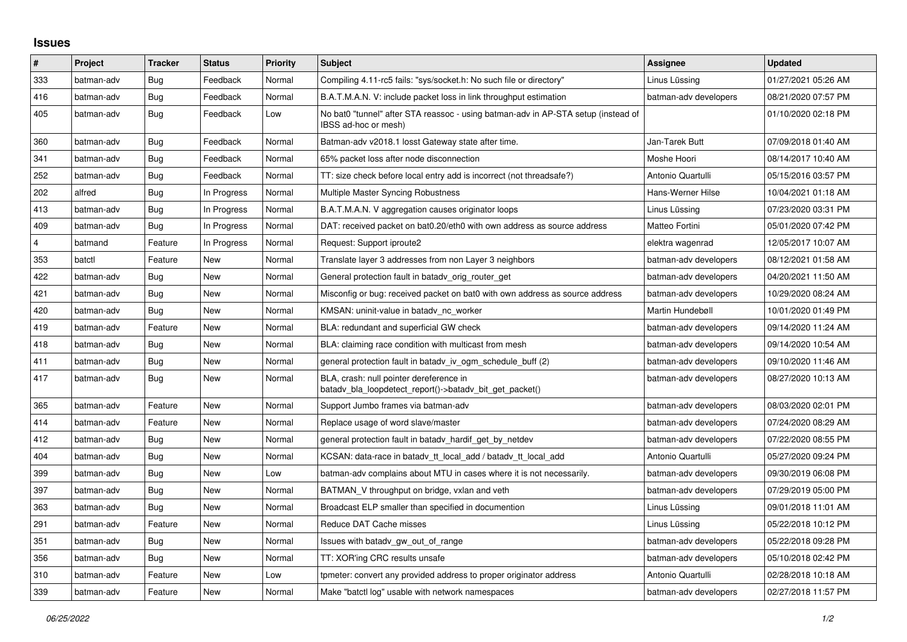## **Issues**

| $\pmb{\sharp}$ | Project    | <b>Tracker</b> | <b>Status</b> | <b>Priority</b> | <b>Subject</b>                                                                                            | <b>Assignee</b>       | <b>Updated</b>      |
|----------------|------------|----------------|---------------|-----------------|-----------------------------------------------------------------------------------------------------------|-----------------------|---------------------|
| 333            | batman-adv | Bug            | Feedback      | Normal          | Compiling 4.11-rc5 fails: "sys/socket.h: No such file or directory"                                       | Linus Lüssing         | 01/27/2021 05:26 AM |
| 416            | batman-adv | Bug            | Feedback      | Normal          | B.A.T.M.A.N. V: include packet loss in link throughput estimation                                         | batman-adv developers | 08/21/2020 07:57 PM |
| 405            | batman-adv | Bug            | Feedback      | Low             | No bat0 "tunnel" after STA reassoc - using batman-adv in AP-STA setup (instead of<br>IBSS ad-hoc or mesh) |                       | 01/10/2020 02:18 PM |
| 360            | batman-adv | <b>Bug</b>     | Feedback      | Normal          | Batman-adv v2018.1 losst Gateway state after time.                                                        | Jan-Tarek Butt        | 07/09/2018 01:40 AM |
| 341            | batman-adv | Bug            | Feedback      | Normal          | 65% packet loss after node disconnection                                                                  | Moshe Hoori           | 08/14/2017 10:40 AM |
| 252            | batman-adv | <b>Bug</b>     | Feedback      | Normal          | TT: size check before local entry add is incorrect (not threadsafe?)                                      | Antonio Quartulli     | 05/15/2016 03:57 PM |
| 202            | alfred     | Bug            | In Progress   | Normal          | Multiple Master Syncing Robustness                                                                        | Hans-Werner Hilse     | 10/04/2021 01:18 AM |
| 413            | batman-adv | <b>Bug</b>     | In Progress   | Normal          | B.A.T.M.A.N. V aggregation causes originator loops                                                        | Linus Lüssing         | 07/23/2020 03:31 PM |
| 409            | batman-adv | Bug            | In Progress   | Normal          | DAT: received packet on bat0.20/eth0 with own address as source address                                   | Matteo Fortini        | 05/01/2020 07:42 PM |
| $\overline{4}$ | batmand    | Feature        | In Progress   | Normal          | Request: Support iproute2                                                                                 | elektra wagenrad      | 12/05/2017 10:07 AM |
| 353            | batctl     | Feature        | New           | Normal          | Translate layer 3 addresses from non Layer 3 neighbors                                                    | batman-adv developers | 08/12/2021 01:58 AM |
| 422            | batman-adv | Bug            | <b>New</b>    | Normal          | General protection fault in batady orig router get                                                        | batman-adv developers | 04/20/2021 11:50 AM |
| 421            | batman-adv | Bug            | <b>New</b>    | Normal          | Misconfig or bug: received packet on bat0 with own address as source address                              | batman-adv developers | 10/29/2020 08:24 AM |
| 420            | batman-adv | <b>Bug</b>     | New           | Normal          | KMSAN: uninit-value in batady nc worker                                                                   | Martin Hundebøll      | 10/01/2020 01:49 PM |
| 419            | batman-adv | Feature        | <b>New</b>    | Normal          | BLA: redundant and superficial GW check                                                                   | batman-adv developers | 09/14/2020 11:24 AM |
| 418            | batman-adv | Bug            | New           | Normal          | BLA: claiming race condition with multicast from mesh                                                     | batman-adv developers | 09/14/2020 10:54 AM |
| 411            | batman-adv | <b>Bug</b>     | <b>New</b>    | Normal          | general protection fault in batady iv ogm schedule buff (2)                                               | batman-adv developers | 09/10/2020 11:46 AM |
| 417            | batman-adv | <b>Bug</b>     | <b>New</b>    | Normal          | BLA, crash: null pointer dereference in<br>batady_bla_loopdetect_report()->batady_bit_get_packet()        | batman-adv developers | 08/27/2020 10:13 AM |
| 365            | batman-adv | Feature        | <b>New</b>    | Normal          | Support Jumbo frames via batman-adv                                                                       | batman-adv developers | 08/03/2020 02:01 PM |
| 414            | batman-adv | Feature        | New           | Normal          | Replace usage of word slave/master                                                                        | batman-adv developers | 07/24/2020 08:29 AM |
| 412            | batman-adv | <b>Bug</b>     | <b>New</b>    | Normal          | general protection fault in batadv_hardif_get_by_netdev                                                   | batman-adv developers | 07/22/2020 08:55 PM |
| 404            | batman-adv | Bug            | <b>New</b>    | Normal          | KCSAN: data-race in batady tt local add / batady tt local add                                             | Antonio Quartulli     | 05/27/2020 09:24 PM |
| 399            | batman-adv | Bug            | New           | Low             | batman-adv complains about MTU in cases where it is not necessarily.                                      | batman-adv developers | 09/30/2019 06:08 PM |
| 397            | batman-adv | Bug            | <b>New</b>    | Normal          | BATMAN V throughput on bridge, vxlan and veth                                                             | batman-adv developers | 07/29/2019 05:00 PM |
| 363            | batman-adv | Bug            | <b>New</b>    | Normal          | Broadcast ELP smaller than specified in documention                                                       | Linus Lüssing         | 09/01/2018 11:01 AM |
| 291            | batman-adv | Feature        | <b>New</b>    | Normal          | Reduce DAT Cache misses                                                                                   | Linus Lüssing         | 05/22/2018 10:12 PM |
| 351            | batman-adv | Bug            | New           | Normal          | Issues with batady gw out of range                                                                        | batman-adv developers | 05/22/2018 09:28 PM |
| 356            | batman-adv | Bug            | New           | Normal          | TT: XOR'ing CRC results unsafe                                                                            | batman-adv developers | 05/10/2018 02:42 PM |
| 310            | batman-adv | Feature        | <b>New</b>    | Low             | tpmeter: convert any provided address to proper originator address                                        | Antonio Quartulli     | 02/28/2018 10:18 AM |
| 339            | batman-adv | Feature        | New           | Normal          | Make "batctl log" usable with network namespaces                                                          | batman-adv developers | 02/27/2018 11:57 PM |